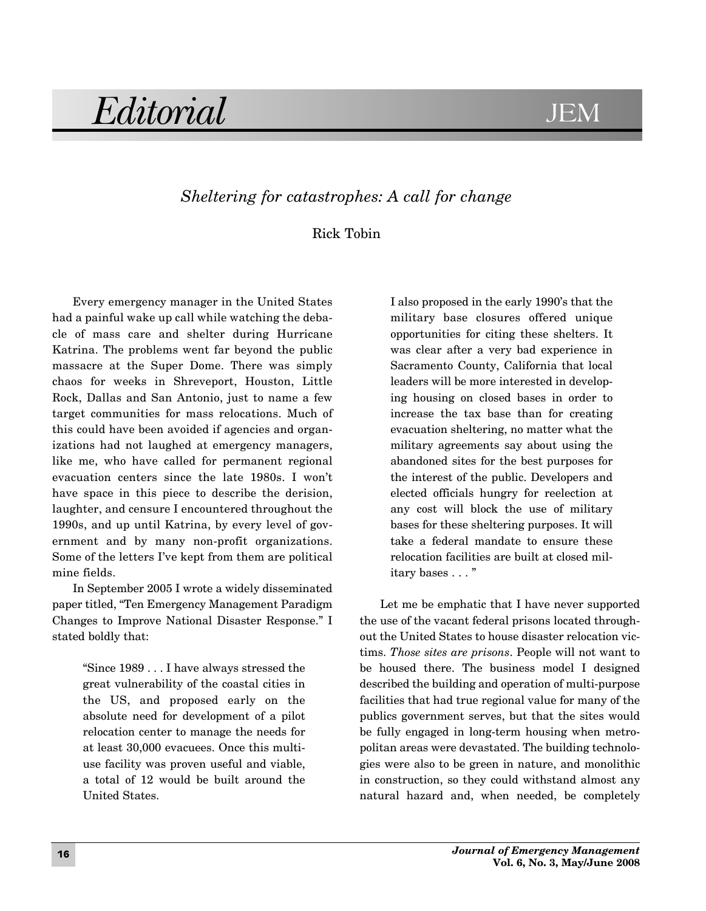## Editorial JE **JEM**

## *Sheltering for catastrophes: A call for change*

## Rick Tobin

Every emergency manager in the United States had a painful wake up call while watching the debacle of mass care and shelter during Hurricane Katrina. The problems went far beyond the public massacre at the Super Dome. There was simply chaos for weeks in Shreveport, Houston, Little Rock, Dallas and San Antonio, just to name a few target communities for mass relocations. Much of this could have been avoided if agencies and organizations had not laughed at emergency managers, like me, who have called for permanent regional evacuation centers since the late 1980s. I won't have space in this piece to describe the derision, laughter, and censure I encountered throughout the 1990s, and up until Katrina, by every level of government and by many non-profit organizations. Some of the letters I've kept from them are political mine fields.

In September 2005 I wrote a widely disseminated paper titled, "Ten Emergency Management Paradigm Changes to Improve National Disaster Response." I stated boldly that:

> "Since 1989 . . . I have always stressed the great vulnerability of the coastal cities in the US, and proposed early on the absolute need for development of a pilot relocation center to manage the needs for at least 30,000 evacuees. Once this multiuse facility was proven useful and viable, a total of 12 would be built around the United States.

I also proposed in the early 1990's that the military base closures offered unique opportunities for citing these shelters. It was clear after a very bad experience in Sacramento County, California that local leaders will be more interested in developing housing on closed bases in order to increase the tax base than for creating evacuation sheltering, no matter what the military agreements say about using the abandoned sites for the best purposes for the interest of the public. Developers and elected officials hungry for reelection at any cost will block the use of military bases for these sheltering purposes. It will take a federal mandate to ensure these relocation facilities are built at closed military bases . . . "

Let me be emphatic that I have never supported the use of the vacant federal prisons located throughout the United States to house disaster relocation victims. *Those sites are prisons*. People will not want to be housed there. The business model I designed described the building and operation of multi-purpose facilities that had true regional value for many of the publics government serves, but that the sites would be fully engaged in long-term housing when metropolitan areas were devastated. The building technologies were also to be green in nature, and monolithic in construction, so they could withstand almost any natural hazard and, when needed, be completely